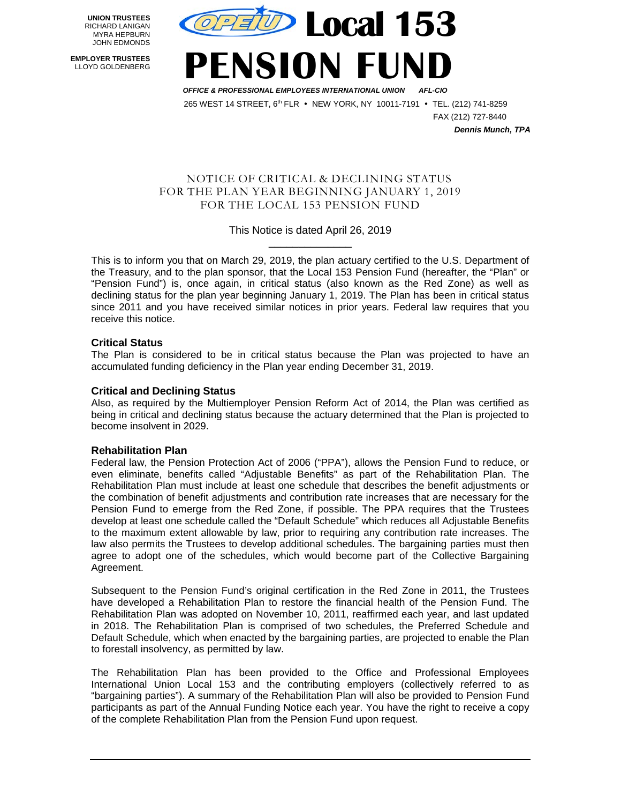**UNION TRUSTEES** RICHARD LANIGAN MYRA HEPBURN JOHN EDMONDS

 **EMPLOYER TRUSTEES** LLOYD GOLDENBERG



**ENSION FUND** 

 *OFFICE & PROFESSIONAL EMPLOYEES INTERNATIONAL UNION AFL-CIO* 265 WEST 14 STREET, 6<sup>th</sup> FLR · NEW YORK, NY 10011-7191 · TEL. (212) 741-8259

 FAX (212) 727-8440  *Dennis Munch, TPA*

## NOTICE OF CRITICAL & DECLINING STATUS FOR THE PLAN YEAR BEGINNING JANUARY 1, 2019 FOR THE LOCAL 153 PENSION FUND

This Notice is dated April 26, 2019 \_\_\_\_\_\_\_\_\_\_\_\_\_\_

This is to inform you that on March 29, 2019, the plan actuary certified to the U.S. Department of the Treasury, and to the plan sponsor, that the Local 153 Pension Fund (hereafter, the "Plan" or "Pension Fund") is, once again, in critical status (also known as the Red Zone) as well as declining status for the plan year beginning January 1, 2019. The Plan has been in critical status since 2011 and you have received similar notices in prior years. Federal law requires that you receive this notice.

# **Critical Status**

The Plan is considered to be in critical status because the Plan was projected to have an accumulated funding deficiency in the Plan year ending December 31, 2019.

# **Critical and Declining Status**

Also, as required by the Multiemployer Pension Reform Act of 2014, the Plan was certified as being in critical and declining status because the actuary determined that the Plan is projected to become insolvent in 2029.

# **Rehabilitation Plan**

Federal law, the Pension Protection Act of 2006 ("PPA"), allows the Pension Fund to reduce, or even eliminate, benefits called "Adjustable Benefits" as part of the Rehabilitation Plan. The Rehabilitation Plan must include at least one schedule that describes the benefit adjustments or the combination of benefit adjustments and contribution rate increases that are necessary for the Pension Fund to emerge from the Red Zone, if possible. The PPA requires that the Trustees develop at least one schedule called the "Default Schedule" which reduces all Adjustable Benefits to the maximum extent allowable by law, prior to requiring any contribution rate increases. The law also permits the Trustees to develop additional schedules. The bargaining parties must then agree to adopt one of the schedules, which would become part of the Collective Bargaining Agreement.

Subsequent to the Pension Fund's original certification in the Red Zone in 2011, the Trustees have developed a Rehabilitation Plan to restore the financial health of the Pension Fund. The Rehabilitation Plan was adopted on November 10, 2011, reaffirmed each year, and last updated in 2018. The Rehabilitation Plan is comprised of two schedules, the Preferred Schedule and Default Schedule, which when enacted by the bargaining parties, are projected to enable the Plan to forestall insolvency, as permitted by law.

The Rehabilitation Plan has been provided to the Office and Professional Employees International Union Local 153 and the contributing employers (collectively referred to as "bargaining parties"). A summary of the Rehabilitation Plan will also be provided to Pension Fund participants as part of the Annual Funding Notice each year. You have the right to receive a copy of the complete Rehabilitation Plan from the Pension Fund upon request.